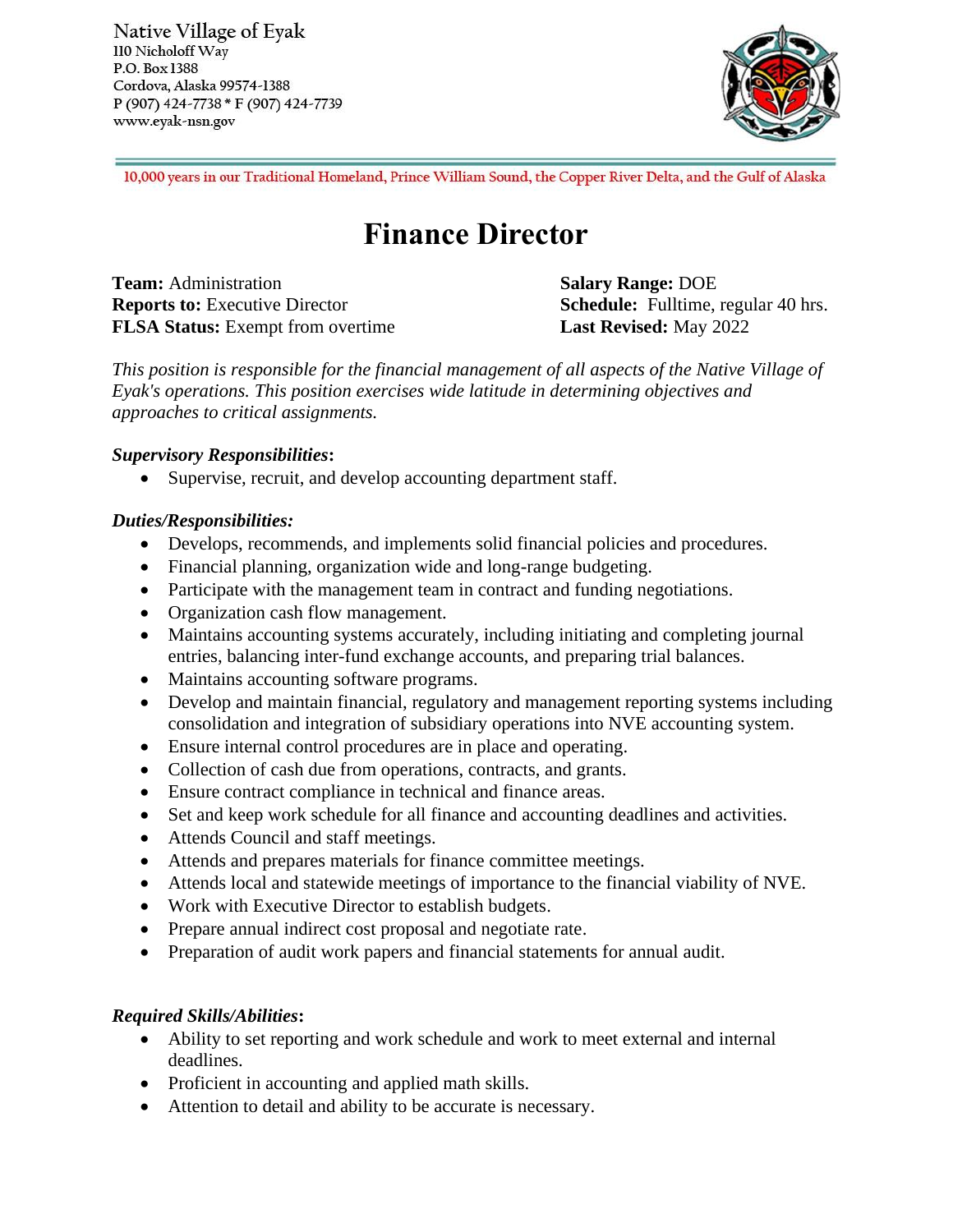Native Village of Eyak 110 Nicholoff Way P.O. Box 1388 Cordova, Alaska 99574-1388 P (907) 424-7738 \* F (907) 424-7739 www.eyak-nsn.gov



10,000 years in our Traditional Homeland, Prince William Sound, the Copper River Delta, and the Gulf of Alaska

# **Finance Director**

**Team:** Administration **Salary Range:** DOE **Reports to:** Executive Director **Schedule:** Fulltime, regular 40 hrs. **FLSA Status:** Exempt from overtime **Last Revised:** May 2022

*This position is responsible for the financial management of all aspects of the Native Village of Eyak's operations. This position exercises wide latitude in determining objectives and approaches to critical assignments.* 

## *Supervisory Responsibilities***:**

• Supervise, recruit, and develop accounting department staff.

## *Duties/Responsibilities:*

- Develops, recommends, and implements solid financial policies and procedures.
- Financial planning, organization wide and long-range budgeting.
- Participate with the management team in contract and funding negotiations.
- Organization cash flow management.
- Maintains accounting systems accurately, including initiating and completing journal entries, balancing inter-fund exchange accounts, and preparing trial balances.
- Maintains accounting software programs.
- Develop and maintain financial, regulatory and management reporting systems including consolidation and integration of subsidiary operations into NVE accounting system.
- Ensure internal control procedures are in place and operating.
- Collection of cash due from operations, contracts, and grants.
- Ensure contract compliance in technical and finance areas.
- Set and keep work schedule for all finance and accounting deadlines and activities.
- Attends Council and staff meetings.
- Attends and prepares materials for finance committee meetings.
- Attends local and statewide meetings of importance to the financial viability of NVE.
- Work with Executive Director to establish budgets.
- Prepare annual indirect cost proposal and negotiate rate.
- Preparation of audit work papers and financial statements for annual audit.

# *Required Skills/Abilities***:**

- Ability to set reporting and work schedule and work to meet external and internal deadlines.
- Proficient in accounting and applied math skills.
- Attention to detail and ability to be accurate is necessary.